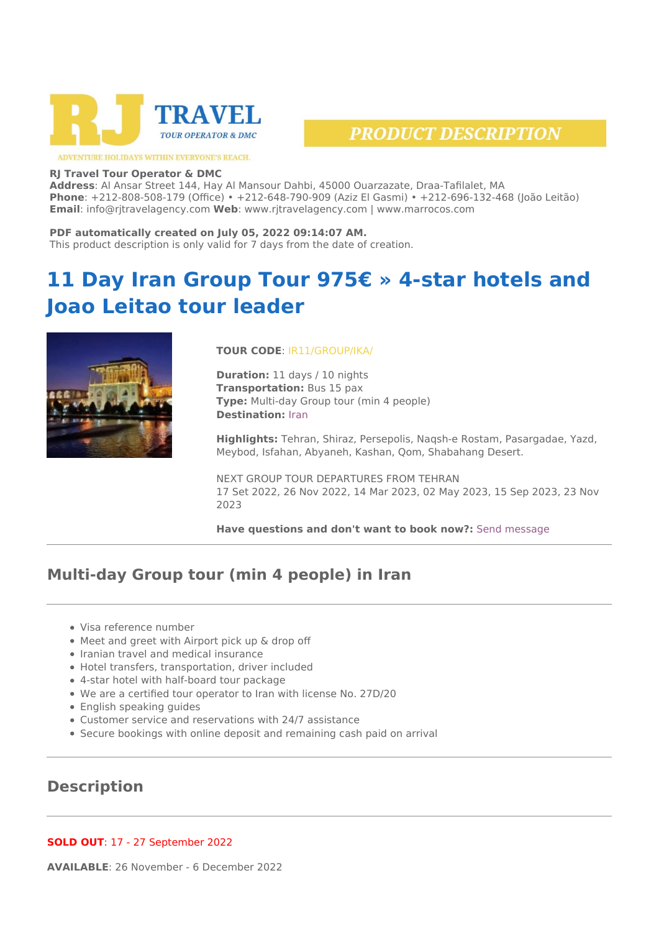



ADVENTURE HOLIDAYS WITHIN EVERYONE'S REACH.

#### **RJ Travel Tour Operator & DMC**

**Address**: Al Ansar Street 144, Hay Al Mansour Dahbi, 45000 Ouarzazate, Draa-Tafilalet, MA **Phone**: +212-808-508-179 (Office) • +212-648-790-909 (Aziz El Gasmi) • +212-696-132-468 (João Leitão) **Email**: info@rjtravelagency.com **Web**: www.rjtravelagency.com | www.marrocos.com

#### **PDF automatically created on July 05, 2022 09:14:07 AM.**

This product description is only valid for 7 days from the date of creation.

# **11 Day Iran Group Tour 975€ » 4-star hotels and Joao Leitao tour leader**



#### **TOUR CODE**: IR11/GROUP/IKA/

**Duration:** 11 days / 10 nights **Transportation:** Bus 15 pax **Type:** Multi-day Group tour (min 4 people) **Destination:** [Iran](https://www.rjtravelagency.com/location/iran/)

**Highlights:** Tehran, Shiraz, Persepolis, Naqsh-e Rostam, Pasargadae, Yazd, Meybod, Isfahan, Abyaneh, Kashan, Qom, Shabahang Desert.

NEXT GROUP TOUR DEPARTURES FROM TEHRAN 17 Set 2022, 26 Nov 2022, 14 Mar 2023, 02 May 2023, 15 Sep 2023, 23 Nov 2023

**Have questions and don't want to book now?:** [Send message](#page--1-0)

# **Multi-day Group tour (min 4 people) in Iran**

- Visa reference number
- Meet and greet with Airport pick up & drop off
- Iranian travel and medical insurance
- Hotel transfers, transportation, driver included
- 4-star hotel with half-board tour package
- We are a certified tour operator to Iran with license No. 27D/20
- English speaking guides
- Customer service and reservations with 24/7 assistance
- Secure bookings with online deposit and remaining cash paid on arrival

# **Description**

**SOLD OUT**: 17 - 27 September 2022

**AVAILABLE**: 26 November - 6 December 2022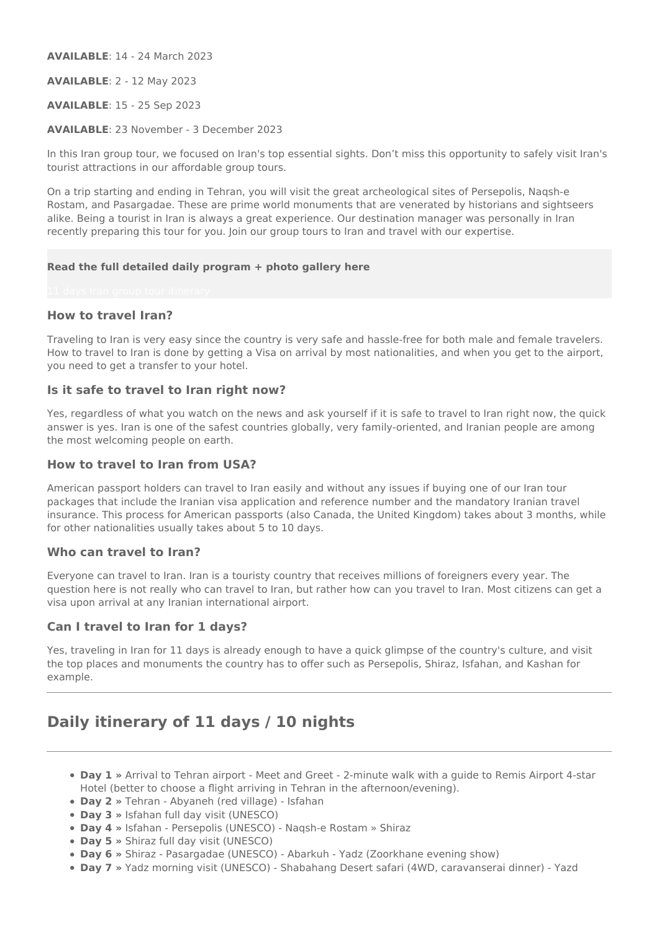**AVAILABLE**: 14 - 24 March 2023

**AVAILABLE**: 2 - 12 May 2023

**AVAILABLE**: 15 - 25 Sep 2023

**AVAILABLE**: 23 November - 3 December 2023

In this Iran group tour, we focused on Iran's top essential sights. Don't miss this opportunity to safely visit Iran's tourist attractions in our affordable group tours.

On a trip starting and ending in Tehran, you will visit the great archeological sites of Persepolis, Naqsh-e Rostam, and Pasargadae. These are prime world monuments that are venerated by historians and sightseers alike. Being a tourist in Iran is always a great experience. Our destination manager was personally in Iran recently preparing this tour for you. Join our group tours to Iran and travel with our expertise.

#### **Read the full detailed daily program + photo gallery here**

### **How to travel Iran?**

Traveling to Iran is very easy since the country is very safe and hassle-free for both male and female travelers. How to travel to Iran is done by getting a Visa on arrival by most nationalities, and when you get to the airport, you need to get a transfer to your hotel.

### **Is it safe to travel to Iran right now?**

Yes, regardless of what you watch on the news and ask yourself if it is safe to travel to Iran right now, the quick answer is yes. Iran is one of the safest countries globally, very family-oriented, and Iranian people are among the most welcoming people on earth.

### **How to travel to Iran from USA?**

American passport holders can travel to Iran easily and without any issues if buying one of our Iran tour packages that include the Iranian visa application and reference number and the mandatory Iranian travel insurance. This process for American passports (also Canada, the United Kingdom) takes about 3 months, while for other nationalities usually takes about 5 to 10 days.

### **Who can travel to Iran?**

Everyone can travel to Iran. Iran is a touristy country that receives millions of foreigners every year. The question here is not really who can travel to Iran, but rather how can you travel to Iran. Most citizens can get a visa upon arrival at any Iranian international airport.

#### **Can I travel to Iran for 1 days?**

Yes, traveling in Iran for 11 days is already enough to have a quick glimpse of the country's culture, and visit the top places and monuments the country has to offer such as Persepolis, Shiraz, Isfahan, and Kashan for example.

# **Daily itinerary of 11 days / 10 nights**

- **Day 1 »** Arrival to Tehran airport Meet and Greet 2-minute walk with a guide to Remis Airport 4-star Hotel (better to choose a flight arriving in Tehran in the afternoon/evening).
- **Day 2 »** Tehran Abyaneh (red village) Isfahan
- **Day 3 »** Isfahan full day visit (UNESCO)
- **Day 4 »** Isfahan Persepolis (UNESCO) Naqsh-e Rostam » Shiraz
- **Day 5 »** Shiraz full day visit (UNESCO)
- **Day 6 »** Shiraz Pasargadae (UNESCO) Abarkuh Yadz (Zoorkhane evening show)
- **Day 7 »** Yadz morning visit (UNESCO) Shabahang Desert safari (4WD, caravanserai dinner) Yazd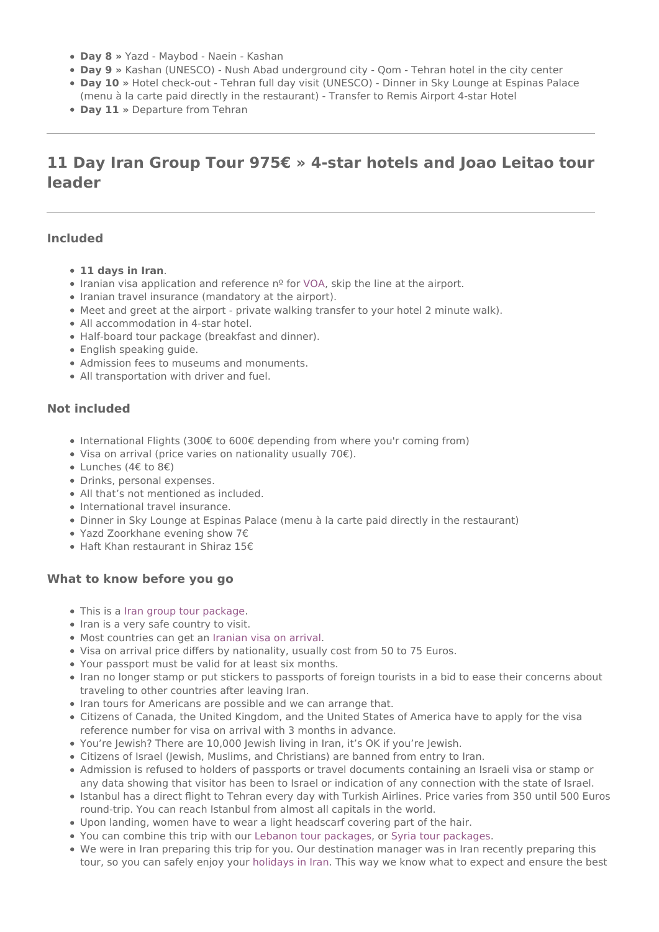- **Day 8 »** Yazd Maybod Naein Kashan
- **Day 9 »** Kashan (UNESCO) Nush Abad underground city Qom Tehran hotel in the city center
- **Day 10 »** Hotel check-out Tehran full day visit (UNESCO) Dinner in Sky Lounge at Espinas Palace (menu à la carte paid directly in the restaurant) - Transfer to Remis Airport 4-star Hotel
- **Day 11 »** Departure from Tehran

# **11 Day Iran Group Tour 975€ » 4-star hotels and Joao Leitao tour leader**

### **Included**

- **11 days in Iran**.
- Iranian visa application and reference nº for [VOA,](https://en.wikipedia.org/wiki/Travel_visa#On-arrival_visas) skip the line at the airport.
- Iranian travel insurance (mandatory at the airport).
- Meet and greet at the airport private walking transfer to your hotel 2 minute walk).
- All accommodation in 4-star hotel.
- Half-board tour package (breakfast and dinner).
- English speaking guide.
- Admission fees to museums and monuments.
- All transportation with driver and fuel.

### **Not included**

- International Flights (300€ to 600€ depending from where you'r coming from)
- Visa on arrival (price varies on nationality usually 70€).
- Lunches (4€ to 8€)
- Drinks, personal expenses.
- All that's not mentioned as included.
- International travel insurance.
- Dinner in Sky Lounge at Espinas Palace (menu à la carte paid directly in the restaurant)
- Yazd Zoorkhane evening show 7€
- Haft Khan restaurant in Shiraz 15€

### **What to know before you go**

- This is a [Iran group tour package](https://www.rjtravelagency.com/tours-in-iran/).
- Iran is a very safe country to visit.
- Most countries can get an [Iranian visa on arrival](https://en.wikipedia.org/wiki/Visa_policy_of_Iran).
- Visa on arrival price differs by nationality, usually cost from 50 to 75 Euros.
- Your passport must be valid for at least six months.
- Iran no longer stamp or put stickers to passports of foreign tourists in a bid to ease their concerns about traveling to other countries after leaving Iran.
- Iran tours for Americans are possible and we can arrange that.
- Citizens of Canada, the United Kingdom, and the United States of America have to apply for the visa reference number for visa on arrival with 3 months in advance.
- You're Jewish? There are 10,000 Jewish living in Iran, it's OK if you're Jewish.
- Citizens of Israel (Jewish, Muslims, and Christians) are banned from entry to Iran.
- Admission is refused to holders of passports or travel documents containing an Israeli visa or stamp or any data showing that visitor has been to Israel or indication of any connection with the state of Israel.
- Istanbul has a direct flight to Tehran every day with Turkish Airlines. Price varies from 350 until 500 Euros round-trip. You can reach Istanbul from almost all capitals in the world.
- Upon landing, women have to wear a light headscarf covering part of the hair.
- You can combine this trip with our [Lebanon tour packages,](https://www.rjtravelagency.com/tours-in-syria/) or [Syria tour packages](https://www.rjtravelagency.com/tours-in-syria/).
- We were in Iran preparing this trip for you. Our destination manager was in Iran recently preparing this tour, so you can safely enjoy your [holidays in Iran](https://www.rjtravelagency.com/tours-in-iran/). This way we know what to expect and ensure the best